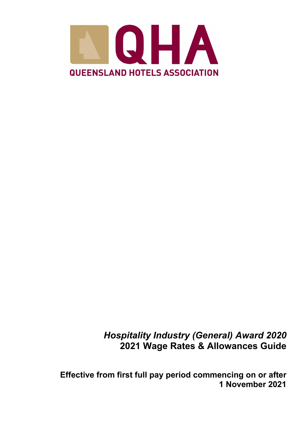

*Hospitality Industry (General) Award 2020* **2021 Wage Rates & Allowances Guide**

**Effective from first full pay period commencing on or after 1 November 2021**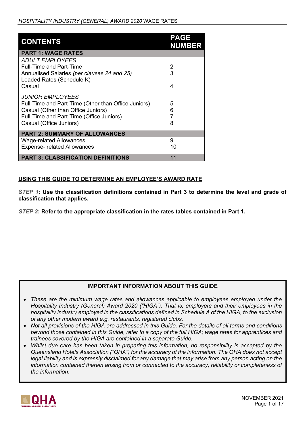| <b>CONTENTS</b>                                                                                                                                                                                    | <b>PAGE</b><br><b>NUMBER</b> |
|----------------------------------------------------------------------------------------------------------------------------------------------------------------------------------------------------|------------------------------|
| <b>PART 1: WAGE RATES</b>                                                                                                                                                                          |                              |
| <b>ADULT EMPLOYEES</b><br><b>Full-Time and Part-Time</b><br>Annualised Salaries (per clauses 24 and 25)                                                                                            | 2<br>3                       |
| Loaded Rates (Schedule K)<br>Casual                                                                                                                                                                | 4                            |
| <i><b>JUNIOR EMPLOYEES</b></i><br>Full-Time and Part-Time (Other than Office Juniors)<br>Casual (Other than Office Juniors)<br>Full-Time and Part-Time (Office Juniors)<br>Casual (Office Juniors) | 5<br>6<br>7<br>8             |
| <b>PART 2: SUMMARY OF ALLOWANCES</b>                                                                                                                                                               |                              |
| Wage-related Allowances<br><b>Expense- related Allowances</b>                                                                                                                                      | 9<br>10                      |
| <b>PART 3: CLASSIFICATION DEFINITIONS</b>                                                                                                                                                          | 11                           |

## **USING THIS GUIDE TO DETERMINE AN EMPLOYEE'S AWARD RATE**

*STEP 1:* **Use the classification definitions contained in Part 3 to determine the level and grade of classification that applies.** 

*STEP 2***: Refer to the appropriate classification in the rates tables contained in Part 1.** 

## **IMPORTANT INFORMATION ABOUT THIS GUIDE**

- *These are the minimum wage rates and allowances applicable to employees employed under the Hospitality Industry (General) Award 2020 ("HIGA"). That is, employers and their employees in the hospitality industry employed in the classifications defined in Schedule A of the HIGA, to the exclusion of any other modern award e.g. restaurants, registered clubs.*
- *Not all provisions of the HIGA are addressed in this Guide. For the details of all terms and conditions beyond those contained in this Guide, refer to a copy of the full HIGA; wage rates for apprentices and trainees covered by the HIGA are contained in a separate Guide.*
- *Whilst due care has been taken in preparing this information, no responsibility is accepted by the Queensland Hotels Association ("QHA") for the accuracy of the information. The QHA does not accept legal liability and is expressly disclaimed for any damage that may arise from any person acting on the information contained therein arising from or connected to the accuracy, reliability or completeness of the information*.

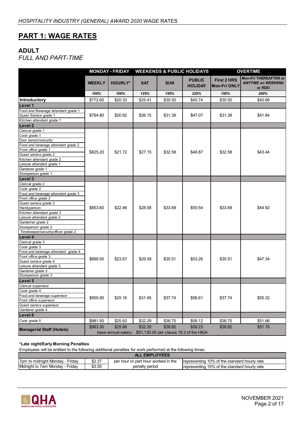# **PART 1: WAGE RATES**

## **ADULT**

*FULL AND PART-TIME* 

|                                     | <b>MONDAY - FRIDAY</b> |                | <b>WEEKENDS &amp; PUBLIC HOLIDAYS</b> |            |                                                             | <b>OVERTIME</b>                           |                                                              |  |
|-------------------------------------|------------------------|----------------|---------------------------------------|------------|-------------------------------------------------------------|-------------------------------------------|--------------------------------------------------------------|--|
|                                     | <b>WEEKLY</b>          | <b>HOURLY*</b> | <b>SAT</b>                            | <b>SUN</b> | <b>PUBLIC</b><br><b>HOLIDAY</b>                             | <b>First 2 HRS</b><br><b>Mon-Fri ONLY</b> | Mon-Fri THEREAFTER or<br><b>ANYTIME on WEEKEND</b><br>or RDO |  |
|                                     | 100%                   | 100%           | 125%                                  | 150%       | 225%                                                        | 150%                                      | 200%                                                         |  |
| Introductory                        | \$772.60               | \$20.33        | \$25.41                               | \$30.50    | \$45.74                                                     | \$30.50                                   | \$40.66                                                      |  |
| Level 1                             |                        |                |                                       |            |                                                             |                                           |                                                              |  |
| Food and Beverage attendant grade 1 |                        |                |                                       |            |                                                             |                                           |                                                              |  |
| Guest Service grade 1               | \$794.80               | \$20.92        | \$26.15                               | \$31.38    | \$47.07                                                     | \$31.38                                   | \$41.84                                                      |  |
| Kitchen attendant grade 1           |                        |                |                                       |            |                                                             |                                           |                                                              |  |
| Level 2                             |                        |                |                                       |            |                                                             |                                           |                                                              |  |
| Clerical grade 1                    |                        |                |                                       |            |                                                             |                                           |                                                              |  |
| Cook grade 1                        |                        |                |                                       |            |                                                             |                                           |                                                              |  |
| Door person/security                |                        |                |                                       |            |                                                             |                                           |                                                              |  |
| Food and beverage attendant grade 2 |                        |                |                                       |            |                                                             |                                           |                                                              |  |
| Front office grade 1                |                        |                |                                       |            |                                                             |                                           |                                                              |  |
| Guest service grade 2               | \$825.20               | \$21.72        | \$27.15                               | \$32.58    | \$48.87                                                     | \$32.58                                   | \$43.44                                                      |  |
| Kitchen attendant grade 2           |                        |                |                                       |            |                                                             |                                           |                                                              |  |
| Leisure attendant grade 1           |                        |                |                                       |            |                                                             |                                           |                                                              |  |
| Gardener grade 1                    |                        |                |                                       |            |                                                             |                                           |                                                              |  |
| Storeperson grade 1                 |                        |                |                                       |            |                                                             |                                           |                                                              |  |
| Level 3                             |                        |                |                                       |            |                                                             |                                           |                                                              |  |
| Clerical grade 2                    |                        |                |                                       |            |                                                             |                                           |                                                              |  |
| Cook grade 2                        |                        |                |                                       |            |                                                             |                                           |                                                              |  |
| Food and beverage attendant grade 3 |                        |                | \$28.08                               |            |                                                             | \$33.69                                   | \$44.92                                                      |  |
| Front office grade 2                |                        |                |                                       |            |                                                             |                                           |                                                              |  |
| Guest service grade 3               |                        |                |                                       |            |                                                             |                                           |                                                              |  |
| Handyperson                         | \$853.60               | \$22.46        |                                       | \$33.69    | \$50.54                                                     |                                           |                                                              |  |
| Kitchen attendant grade 3           |                        |                |                                       |            |                                                             |                                           |                                                              |  |
| Leisure attendant grade 2           |                        |                |                                       |            |                                                             |                                           |                                                              |  |
| Garderner grade 2                   |                        |                |                                       |            |                                                             |                                           |                                                              |  |
| Storeperson grade 2                 |                        |                |                                       |            |                                                             |                                           |                                                              |  |
| Timekeeper/securityofficer grade 2  |                        |                |                                       |            |                                                             |                                           |                                                              |  |
| Level 4                             |                        |                |                                       |            |                                                             |                                           |                                                              |  |
| Clerical grade 3                    |                        |                |                                       |            |                                                             |                                           |                                                              |  |
| Cook grade 3                        |                        |                |                                       |            |                                                             |                                           |                                                              |  |
| Food and beverage attendant grade 4 |                        |                |                                       |            |                                                             |                                           |                                                              |  |
| Front office grade 3                |                        |                |                                       |            |                                                             |                                           |                                                              |  |
| Guest service grade 4               | \$899.50               | \$23.67        | \$29.59                               | \$35.51    | \$53.26                                                     | \$35.51                                   | \$47.34                                                      |  |
| Leisure attendant grade 3           |                        |                |                                       |            |                                                             |                                           |                                                              |  |
| Gardener grade 3                    |                        |                |                                       |            |                                                             |                                           |                                                              |  |
| Storeperson grade 3                 |                        |                |                                       |            |                                                             |                                           |                                                              |  |
| Level 5                             |                        |                |                                       |            |                                                             |                                           |                                                              |  |
| Clerical supervisor                 |                        |                |                                       |            |                                                             |                                           |                                                              |  |
| Cook grade 4                        |                        |                |                                       |            |                                                             |                                           |                                                              |  |
| Food and beverage supervisor        | \$955.90               |                |                                       |            |                                                             |                                           |                                                              |  |
| Front office supervisor             |                        | \$25.16        | \$31.45                               | \$37.74    | \$56.61                                                     | \$37.74                                   | \$50.32                                                      |  |
| Guest service supervisor            |                        |                |                                       |            |                                                             |                                           |                                                              |  |
| Gardener grade 4                    |                        |                |                                       |            |                                                             |                                           |                                                              |  |
| Level 6                             |                        |                |                                       |            |                                                             |                                           |                                                              |  |
| Cook grade 5                        | \$981.50               | \$25.83        | \$32.29                               | \$38.75    | \$58.12                                                     | \$38.75                                   | \$51.66                                                      |  |
|                                     |                        |                |                                       |            |                                                             |                                           |                                                              |  |
| <b>Managerial Staff (Hotels)</b>    | \$983.30               | \$25.88        | \$32.35                               | \$38.82    | \$58.23                                                     | \$38.82                                   | \$51.76                                                      |  |
|                                     |                        |                |                                       |            | base annual salary: \$51,130.00 per clause 18.2 of the HIGA |                                           |                                                              |  |

#### **\*Late night/Early Morning Penalties**

| <b>LEMPLOYEES</b>                                 |        |                                     |                                               |  |  |  |  |  |
|---------------------------------------------------|--------|-------------------------------------|-----------------------------------------------|--|--|--|--|--|
| Fridav<br>۰ to midnight Mondav<br>7 <sub>pm</sub> | \$2.37 | per hour or part hour worked in the | Trepresenting 10% of the standard hourly rate |  |  |  |  |  |
| <b>Midnight to 7am Monday -</b><br>Fridav         | \$3.55 | penalty period                      | Irepresenting 15% of the standard hourly rate |  |  |  |  |  |

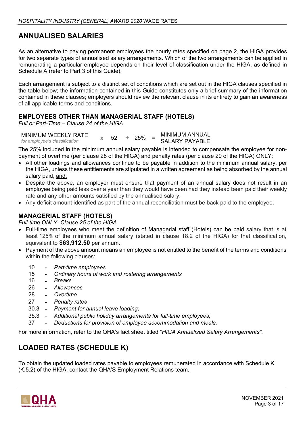# **ANNUALISED SALARIES**

As an alternative to paying permanent employees the hourly rates specified on page 2, the HIGA provides for two separate types of annualised salary arrangements. Which of the two arrangements can be applied in remunerating a particular employee depends on their level of classification under the HIGA, as defined in Schedule A (refer to Part 3 of this Guide).

Each arrangement is subject to a distinct set of conditions which are set out in the HIGA clauses specified in the table below; the information contained in this Guide constitutes only a brief summary of the information contained in these clauses; employers should review the relevant clause in its entirety to gain an awareness of all applicable terms and conditions.

## **EMPLOYEES OTHER THAN MANAGERIAL STAFF (HOTELS)**

*Full or Part-Time – Clause 24 of the HIGA*

MINIMUM WEEKLY RATE *for employee's classification* **<sup>x</sup>** <sup>52</sup> **<sup>+</sup>** 25% **<sup>=</sup>** MINIMUM ANNUAL SALARY PAYABLE

The 25% included in the minimum annual salary payable is intended to compensate the employee for nonpayment of overtime (per clause 28 of the HIGA) and penalty rates (per clause 29 of the HIGA) ONLY;

- All other loadings and allowances continue to be payable in addition to the minimum annual salary, per the HIGA, unless these entitlements are stipulated in a written agreement as being absorbed by the annual salary paid, and;
- Despite the above, an employer must ensure that payment of an annual salary does not result in an employee being paid less over a year than they would have been had they instead been paid their weekly rate and any other amounts satisfied by the annualised salary.
- Any deficit amount identified as part of the annual reconciliation must be back paid to the employee.

## **MANAGERIAL STAFF (HOTELS)**

*Full-time ONLY- Clause 25 of the HIGA* 

- Full-time employees who meet the definition of Managerial staff (Hotels) can be paid salary that is at least 125% of the minimum annual salary (stated in clause 18.2 of the HIGA) for that classification, equivalent to **\$63,912.50** per annum**.**
- Payment of the above amount means an employee is not entitled to the benefit of the terms and conditions within the following clauses:
	- 10 *Part-time employees*
	- 15 *[Ordinary hours of work and rostering arrangements](http://awardviewer.fwo.gov.au/award/show/MA000009#P434_39394)*
	- 16 *Breaks*
	- 26 *Allowances*
	- 28 *Overtime*
	- 27 *Penalty rates*
	- 30.3 *[Payment for annual leave loading;](http://awardviewer.fwo.gov.au/award/show/MA000009#P1219_101277)*
	- 35.3 *[Additional public holiday arrangements for full-time employees;](http://awardviewer.fwo.gov.au/award/show/MA000009#P1304_112491)*
	- 37 *[Deductions for provision of employee accommodation and meals.](http://awardviewer.fwo.gov.au/award/show/MA000009#P1327_114400)*

For more information, refer to the QHA's fact sheet titled "*HIGA Annualised Salary Arrangements".*

# **LOADED RATES (SCHEDULE K)**

To obtain the updated loaded rates payable to employees remunerated in accordance with Schedule K (K.5.2) of the HIGA, contact the QHA'S Employment Relations team.

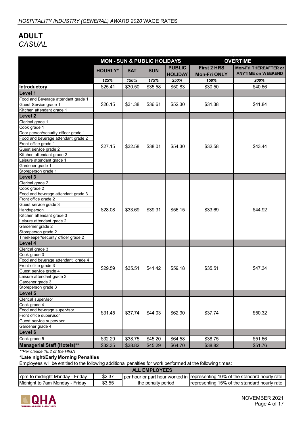# **ADULT** *CASUAL*

|                                      |                |            | <b>MON - SUN &amp; PUBLIC HOLIDAYS</b> |                                 | <b>OVERTIME</b>                           |                                                           |  |
|--------------------------------------|----------------|------------|----------------------------------------|---------------------------------|-------------------------------------------|-----------------------------------------------------------|--|
|                                      | <b>HOURLY*</b> | <b>SAT</b> | <b>SUN</b>                             | <b>PUBLIC</b><br><b>HOLIDAY</b> | <b>First 2 HRS</b><br><b>Mon-Fri ONLY</b> | <b>Mon-Fri THEREAFTER or</b><br><b>ANYTIME on WEEKEND</b> |  |
|                                      | 125%           | 150%       | 175%                                   | 250%                            | 150%                                      | 200%                                                      |  |
| <b>Introductory</b>                  | \$25.41        | \$30.50    | \$35.58                                | \$50.83                         | \$30.50                                   | \$40.66                                                   |  |
| Level 1                              |                |            |                                        |                                 |                                           |                                                           |  |
| Food and Beverage attendant grade 1  |                |            |                                        |                                 |                                           |                                                           |  |
| Guest Service grade 1                | \$26.15        | \$31.38    | \$36.61                                | \$52.30                         | \$31.38                                   | \$41.84                                                   |  |
| Kitchen attendant grade 1            |                |            |                                        |                                 |                                           |                                                           |  |
| Level 2                              |                |            |                                        |                                 |                                           |                                                           |  |
| Clerical grade 1                     |                |            |                                        |                                 |                                           |                                                           |  |
| Cook grade 1                         |                |            |                                        |                                 |                                           |                                                           |  |
| Door person/security officer grade 1 |                |            |                                        |                                 |                                           |                                                           |  |
| Food and beverage attendant grade 2  |                |            |                                        |                                 |                                           |                                                           |  |
| Front office grade 1                 |                |            |                                        |                                 |                                           |                                                           |  |
| Guest service grade 2                | \$27.15        | \$32.58    | \$38.01                                | \$54.30                         | \$32.58                                   | \$43.44                                                   |  |
| Kitchen attendant grade 2            |                |            |                                        |                                 |                                           |                                                           |  |
| Leisure attendant grade 1            |                |            |                                        |                                 |                                           |                                                           |  |
| Gardener grade 1                     |                |            |                                        |                                 |                                           |                                                           |  |
| Storeperson grade 1                  |                |            |                                        |                                 |                                           |                                                           |  |
| Level 3                              |                |            |                                        |                                 |                                           |                                                           |  |
| Clerical grade 2                     |                |            |                                        |                                 |                                           |                                                           |  |
| Cook grade 2                         |                |            |                                        |                                 |                                           |                                                           |  |
| Food and beverage attendant grade 3  |                | \$33.69    |                                        |                                 |                                           | \$44.92                                                   |  |
| Front office grade 2                 |                |            |                                        |                                 |                                           |                                                           |  |
| Guest service grade 3                |                |            |                                        |                                 |                                           |                                                           |  |
| Handyperson                          | \$28.08        |            | \$39.31                                | \$56.15                         | \$33.69                                   |                                                           |  |
| Kitchen attendant grade 3            |                |            |                                        |                                 |                                           |                                                           |  |
| Leisure attendant grade 2            |                |            |                                        |                                 |                                           |                                                           |  |
| Garderner grade 2                    |                |            |                                        |                                 |                                           |                                                           |  |
| Storeperson grade 2                  |                |            |                                        |                                 |                                           |                                                           |  |
| Timekeeper/security officer grade 2  |                |            |                                        |                                 |                                           |                                                           |  |
| Level 4                              |                |            |                                        |                                 |                                           |                                                           |  |
| Clerical grade 3                     |                |            |                                        |                                 |                                           |                                                           |  |
| Cook grade 3                         |                |            |                                        |                                 |                                           |                                                           |  |
| Food and beverage attendant grade 4  |                |            |                                        |                                 |                                           |                                                           |  |
| Front office grade 3                 | \$29.59        | \$35.51    | \$41.42                                | \$59.18                         | \$35.51                                   | \$47.34                                                   |  |
| Guest service grade 4                |                |            |                                        |                                 |                                           |                                                           |  |
| Leisure attendant grade 3            |                |            |                                        |                                 |                                           |                                                           |  |
| Gardener grade 3                     |                |            |                                        |                                 |                                           |                                                           |  |
| Storeperson grade 3                  |                |            |                                        |                                 |                                           |                                                           |  |
| Level 5                              |                |            |                                        |                                 |                                           |                                                           |  |
| Clerical supervisor                  |                |            |                                        |                                 |                                           |                                                           |  |
| Cook grade 4                         |                |            |                                        |                                 |                                           |                                                           |  |
| Food and beverage supervisor         | \$31.45        | \$37.74    | \$44.03                                | \$62.90                         | \$37.74                                   | \$50.32                                                   |  |
| Front office supervisor              |                |            |                                        |                                 |                                           |                                                           |  |
| Guest service supervisor             |                |            |                                        |                                 |                                           |                                                           |  |
| Gardener grade 4                     |                |            |                                        |                                 |                                           |                                                           |  |
| Level 6                              |                |            |                                        |                                 |                                           |                                                           |  |
| Cook grade 5                         | \$32.29        | \$38.75    | \$45.20                                | \$64.58                         | \$38.75                                   | \$51.66                                                   |  |
| <b>Managerial Staff (Hotels)**</b>   | \$32.35        | \$38.82    | \$45.29                                | \$64.70                         | \$38.82                                   | \$51.76                                                   |  |
| $*D_{\text{out}}$                    |                |            |                                        |                                 |                                           |                                                           |  |

*\*\*Per clause 18.2 of the HIGA* 

### **\*Late night/Early Morning Penalties**

| <b>ALL</b><br><b>EMPLOYEES</b>  |        |                    |                                                                                  |  |  |  |  |  |
|---------------------------------|--------|--------------------|----------------------------------------------------------------------------------|--|--|--|--|--|
| 7pm to midnight Monday - Friday | \$2.37 |                    | I per hour or part hour worked in I representing 10% of the standard hourly rate |  |  |  |  |  |
| Midnight to 7am Monday - Friday | \$3.55 | the penalty period | Irepresenting 15% of the standard hourly rate                                    |  |  |  |  |  |

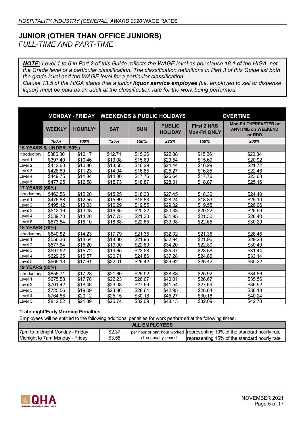## **JUNIOR (OTHER THAN OFFICE JUNIORS)** *FULL-TIME AND PART-TIME*

*NOTE: Level 1 to 6 in Part 2 of this Guide reflects the WAGE level as per clause 18.1 of the HIGA, not the Grade level of a particular classification. The classification definitions in Part 3 of this Guide list both the grade level and the WAGE level for a particular classification.* 

*Clause 13.5 of the HIGA states that a junior liquor service employee (i.e. employed to sell or dispense liquor) must be paid as an adult at the classification rate for the work being performed.* 

|                    |                                   |                     |            |            | MONDAY - FRIDAY WEEKENDS & PUBLIC HOLIDAYS | <b>OVERTIME</b>                           |                                                                     |  |
|--------------------|-----------------------------------|---------------------|------------|------------|--------------------------------------------|-------------------------------------------|---------------------------------------------------------------------|--|
|                    | <b>WEEKLY</b>                     | <b>HOURLY*</b>      | <b>SAT</b> | <b>SUN</b> | <b>PUBLIC</b><br><b>HOLIDAY</b>            | <b>First 2 HRS</b><br><b>Mon-Fri ONLY</b> | <b>Mon-Fri THEREAFTER or</b><br><b>ANYTIME on WEEKEND</b><br>or RDO |  |
|                    | 100%                              | 100%                | 125%       | 150%       | 225%                                       | 150%                                      | 200%                                                                |  |
|                    | <b>16 YEARS &amp; UNDER (50%)</b> |                     |            |            |                                            |                                           |                                                                     |  |
| Introductory       | \$386.30                          | \$10.17             | \$12.71    | \$15.26    | \$22.88                                    | \$15.26                                   | \$20.34                                                             |  |
| Level 1            | \$397.40                          | \$10.46             | \$13.08    | \$15.69    | \$23.54                                    | \$15.69                                   | \$20.92                                                             |  |
| Level <sub>2</sub> | \$412.60                          | \$10.86             | \$13.58    | \$16.29    | \$24.44                                    | \$16.29                                   | \$21.72                                                             |  |
| Level 3            | \$426.80                          | \$11.23             | \$14.04    | \$16.85    | \$25.27                                    | \$16.85                                   | \$22.46                                                             |  |
| Level 4            | \$449.75                          | \$11.84             | \$14.80    | \$17.76    | \$26.64                                    | \$17.76                                   | \$23.68                                                             |  |
| Level 5            | \$477.95                          | \$12.58             | \$15.73    | \$18.87    | \$28.31                                    | \$18.87                                   | \$25.16                                                             |  |
| 17 YEARS (60%)     |                                   |                     |            |            |                                            |                                           |                                                                     |  |
| Introductory       | \$463.56                          | \$12.20             | \$15.25    | \$18.30    | \$27.45                                    | \$18.30                                   | \$24.40                                                             |  |
| Level 1            | \$476.88                          | $\overline{$}12.55$ | \$15.69    | \$18.83    | \$28.24                                    | \$18.83                                   | \$25.10                                                             |  |
| Level <sub>2</sub> | \$495.12                          | \$13.03             | \$16.29    | \$19.55    | \$29.32                                    | \$19.55                                   | \$26.06                                                             |  |
| Level 3            | \$512.16                          | \$13.48             | \$16.85    | \$20.22    | \$30.33                                    | \$20.22                                   | \$26.96                                                             |  |
| Level 4            | \$539.70                          | \$14.20             | \$17.75    | \$21.30    | \$31.95                                    | \$21.30                                   | \$28.40                                                             |  |
| Level 5            | \$573.54                          | \$15.10             | \$18.88    | \$22.65    | \$33.98                                    | \$22.65                                   | \$30.20                                                             |  |
| 18 YEARS (70%)     |                                   |                     |            |            |                                            |                                           |                                                                     |  |
| Introductory       | \$540.82                          | \$14.23             | \$17.79    | \$21.35    | \$32.02                                    | \$21.35                                   | \$28.46                                                             |  |
| Level 1            | \$556.36                          | \$14.64             | \$18.30    | \$21.96    | \$32.94                                    | \$21.96                                   | \$29.28                                                             |  |
| Level <sub>2</sub> | \$577.64                          | \$15.20             | \$19.00    | \$22.80    | \$34.20                                    | \$22.80                                   | \$30.40                                                             |  |
| Level 3            | \$597.52                          | \$15.72             | \$19.65    | \$23.58    | \$35.37                                    | \$23.58                                   | \$31.44                                                             |  |
| Level 4            | \$629.65                          | \$16.57             | \$20.71    | \$24.86    | \$37.28                                    | \$24.86                                   | \$33.14                                                             |  |
| Level 5            | \$669.13                          | \$17.61             | \$22.01    | \$26.42    | \$39.62                                    | \$26.42                                   | \$35.22                                                             |  |
| 19 YEARS (85%)     |                                   |                     |            |            |                                            |                                           |                                                                     |  |
| Introductory       | \$656.71                          | \$17.28             | \$21.60    | \$25.92    | \$38.88                                    | \$25.92                                   | \$34.56                                                             |  |
| Level 1            | \$675.58                          | \$17.78             | \$22.23    | \$26.67    | \$40.01                                    | \$26.67                                   | \$35.56                                                             |  |
| Level 2            | \$701.42                          | \$18.46             | \$23.08    | \$27.69    | \$41.54                                    | \$27.69                                   | \$36.92                                                             |  |
| Level 3            | \$725.56                          | \$19.09             | \$23.86    | \$28.64    | \$42.95                                    | \$28.64                                   | \$38.18                                                             |  |
| Level 4            | \$764.58                          | \$20.12             | \$25.15    | \$30.18    | \$45.27                                    | \$30.18                                   | \$40.24                                                             |  |
| Level 5            | \$812.52                          | \$21.39             | \$26.74    | \$32.09    | \$48.13                                    | \$32.09                                   | \$42.78                                                             |  |

#### **\*Late night/Early Morning Penalties**

| <b>ALL EMPLOYEES</b>             |        |                       |                                                                                        |  |  |  |  |  |
|----------------------------------|--------|-----------------------|----------------------------------------------------------------------------------------|--|--|--|--|--|
| I7pm to midnight Monday - Friday | \$2.37 |                       | $^{\prime}$ per hour or part hour worked Trepresenting 10% of the standard hourly rate |  |  |  |  |  |
| Midnight to 7am Monday - Friday  | \$3.55 | in the penalty period | Irepresenting 15% of the standard hourly rate                                          |  |  |  |  |  |

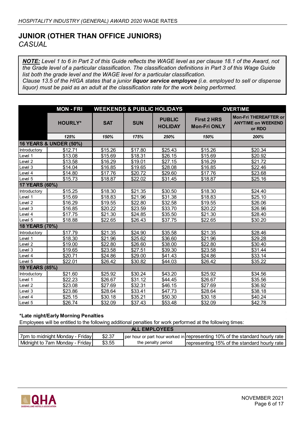# **JUNIOR (OTHER THAN OFFICE JUNIORS)** *CASUAL*

*NOTE: Level 1 to 6 in Part 2 of this Guide reflects the WAGE level as per clause 18.1 of the Award, not the Grade level of a particular classification. The classification definitions in Part 3 of this Wage Guide list both the grade level and the WAGE level for a particular classification. Clause 13.5 of the HIGA states that a junior liquor service employee (i.e. employed to sell or dispense* 

*liquor) must be paid as an adult at the classification rate for the work being performed.* 

|                    | <b>MON - FRI</b>       |            |            | <b>WEEKENDS &amp; PUBLIC HOLIDAYS</b> |                                           | <b>OVERTIME</b>                                                     |  |  |
|--------------------|------------------------|------------|------------|---------------------------------------|-------------------------------------------|---------------------------------------------------------------------|--|--|
|                    | <b>HOURLY*</b>         | <b>SAT</b> | <b>SUN</b> | <b>PUBLIC</b><br><b>HOLIDAY</b>       | <b>First 2 HRS</b><br><b>Mon-Fri ONLY</b> | <b>Mon-Fri THEREAFTER or</b><br><b>ANYTIME on WEEKEND</b><br>or RDO |  |  |
|                    | 125%                   | 150%       | 175%       | 250%                                  | 150%                                      | 200%                                                                |  |  |
|                    | 16 YEARS & UNDER (50%) |            |            |                                       |                                           |                                                                     |  |  |
| Introductory       | \$12.71                | \$15.26    | \$17.80    | \$25.43                               | \$15.26                                   | \$20.34                                                             |  |  |
| Level 1            | \$13.08                | \$15.69    | \$18.31    | \$26.15                               | \$15.69                                   | \$20.92                                                             |  |  |
| Level 2            | \$13.58                | \$16.29    | \$19.01    | \$27.15                               | \$16.29                                   | \$21.72                                                             |  |  |
| Level 3            | \$14.04                | \$16.85    | \$19.65    | \$28.08                               | \$16.85                                   | \$22.46                                                             |  |  |
| Level 4            | \$14.80                | \$17.76    | \$20.72    | \$29.60                               | \$17.76                                   | \$23.68                                                             |  |  |
| Level 5            | \$15.73                | \$18.87    | \$22.02    | \$31.45                               | \$18.87                                   | \$25.16                                                             |  |  |
| 17 YEARS (60%)     |                        |            |            |                                       |                                           |                                                                     |  |  |
| Introductory       | \$15.25                | \$18.30    | \$21.35    | \$30.50                               | \$18.30                                   | \$24.40                                                             |  |  |
| Level 1            | \$15.69                | \$18.83    | \$21.96    | \$31.38                               | \$18.83                                   | \$25.10                                                             |  |  |
| Level <sub>2</sub> | \$16.29                | \$19.55    | \$22.80    | \$32.58                               | \$19.55                                   | \$26.06                                                             |  |  |
| Level 3            | \$16.85                | \$20.22    | \$23.59    | \$33.70                               | \$20.22                                   | \$26.96                                                             |  |  |
| Level 4            | \$17.75                | \$21.30    | \$24.85    | \$35.50                               | \$21.30                                   | $\overline{$}28.40$                                                 |  |  |
| Level 5            | \$18.88                | \$22.65    | \$26.43    | \$37.75                               | \$22.65                                   | \$30.20                                                             |  |  |
| 18 YEARS (70%)     |                        |            |            |                                       |                                           |                                                                     |  |  |
| Introductory       | \$17.79                | \$21.35    | \$24.90    | \$35.58                               | \$21.35                                   | \$28.46                                                             |  |  |
| Level 1            | \$18.30                | \$21.96    | \$25.62    | \$36.60                               | \$21.96                                   | \$29.28                                                             |  |  |
| Level 2            | \$19.00                | \$22.80    | \$26.60    | \$38.00                               | \$22.80                                   | \$30.40                                                             |  |  |
| Level 3            | \$19.65                | \$23.58    | \$27.51    | \$39.30                               | \$23.58                                   | \$31.44                                                             |  |  |
| Level 4            | \$20.71                | \$24.86    | \$29.00    | \$41.43                               | \$24.86                                   | \$33.14                                                             |  |  |
| Level 5            | \$22.01                | \$26.42    | \$30.82    | \$44.03                               | \$26.42                                   | \$35.22                                                             |  |  |
| 19 YEARS (85%)     |                        |            |            |                                       |                                           |                                                                     |  |  |
| Introductory       | \$21.60                | \$25.92    | \$30.24    | \$43.20                               | \$25.92                                   | \$34.56                                                             |  |  |
| Level 1            | \$22.23                | \$26.67    | \$31.12    | \$44.45                               | \$26.67                                   | \$35.56                                                             |  |  |
| Level <sub>2</sub> | \$23.08                | \$27.69    | \$32.31    | \$46.15                               | \$27.69                                   | \$36.92                                                             |  |  |
| Level 3            | \$23.86                | \$28.64    | \$33.41    | \$47.73                               | \$28.64                                   | \$38.18                                                             |  |  |
| Level 4            | \$25.15                | \$30.18    | \$35.21    | \$50.30                               | \$30.18                                   | \$40.24                                                             |  |  |
| Level 5            | \$26.74                | \$32.09    | \$37.43    | \$53.48                               | \$32.09                                   | \$42.78                                                             |  |  |

#### **\*Late night/Early Morning Penalties**

| <b>ALL EMPLOYEES</b>              |        |                    |                                                                              |  |  |  |  |  |
|-----------------------------------|--------|--------------------|------------------------------------------------------------------------------|--|--|--|--|--|
| ⊦7pm to midnight Monda∨ - Frida∨l | \$2.37 |                    | per hour or part hour worked in representing 10% of the standard hourly rate |  |  |  |  |  |
| Midnight to 7am Monday - Friday I | \$3.55 | the penalty period | <b>Irepresenting 15% of the standard hourly rate</b>                         |  |  |  |  |  |

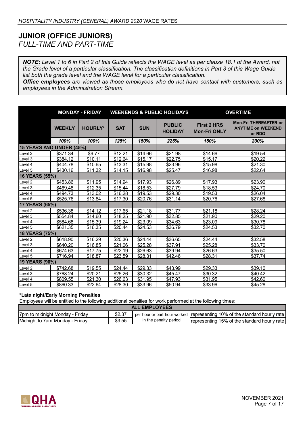# **JUNIOR (OFFICE JUNIORS)** *FULL-TIME AND PART-TIME*

*NOTE: Level 1 to 6 in Part 2 of this Guide reflects the WAGE level as per clause 18.1 of the Award, not the Grade level of a particular classification. The classification definitions in Part 3 of this Wage Guide list both the grade level and the WAGE level for a particular classification.* 

*Office employees are viewed as those employees who do not have contact with customers, such as employees in the Administration Stream.*

|                          |               | <b>MONDAY - FRIDAY</b><br><b>WEEKENDS &amp; PUBLIC HOLIDAYS</b> |            |                     | <b>OVERTIME</b>                 |                                           |                                                                     |
|--------------------------|---------------|-----------------------------------------------------------------|------------|---------------------|---------------------------------|-------------------------------------------|---------------------------------------------------------------------|
|                          | <b>WEEKLY</b> | <b>HOURLY*</b>                                                  | <b>SAT</b> | <b>SUN</b>          | <b>PUBLIC</b><br><b>HOLIDAY</b> | <b>First 2 HRS</b><br><b>Mon-Fri ONLY</b> | <b>Mon-Fri THEREAFTER or</b><br><b>ANYTIME on WEEKEND</b><br>or RDO |
|                          | 100%          | 100%                                                            | 125%       | 150%                | 225%                            | 150%                                      | 200%                                                                |
| 15 YEARS AND UNDER (45%) |               |                                                                 |            |                     |                                 |                                           |                                                                     |
| Level 2                  | \$371.34      | \$9.77                                                          | \$12.21    | \$14.66             | \$21.98                         | \$14.66                                   | \$19.54                                                             |
| Level 3                  | \$384.12      | \$10.11                                                         | \$12.64    | \$15.17             | \$22.75                         | \$15.17                                   | \$20.22                                                             |
| Level 4                  | \$404.78      | \$10.65                                                         | \$13.31    | \$15.98             | \$23.96                         | \$15.98                                   | \$21.30                                                             |
| Level 5                  | \$430.16      | \$11.32                                                         | \$14.15    | \$16.98             | \$25.47                         | \$16.98                                   | \$22.64                                                             |
| 16 YEARS (55%)           |               |                                                                 |            |                     |                                 |                                           |                                                                     |
| Level <sub>2</sub>       | \$453.86      | \$11.95                                                         | \$14.94    | \$17.93             | \$26.89                         | \$17.93                                   | \$23.90                                                             |
| Level 3                  | \$469.48      | \$12.35                                                         | \$15.44    | \$18.53             | \$27.79                         | \$18.53                                   | \$24.70                                                             |
| Level 4                  | \$494.73      | \$13.02                                                         | \$16.28    | $\overline{$}19.53$ | \$29.30                         | \$19.53                                   | \$26.04                                                             |
| Level 5                  | \$525.76      | \$13.84                                                         | \$17.30    | \$20.76             | \$31.14                         | \$20.76                                   | \$27.68                                                             |
| 17 YEARS (65%)           |               |                                                                 |            |                     |                                 |                                           |                                                                     |
| Level 2                  | \$536.38      | \$14.12                                                         | \$17.65    | \$21.18             | \$31.77                         | \$21.18                                   | \$28.24                                                             |
| Level 3                  | \$554.84      | \$14.60                                                         | \$18.25    | \$21.90             | \$32.85                         | \$21.90                                   | \$29.20                                                             |
| Level 4                  | \$584.68      | \$15.39                                                         | \$19.24    | \$23.09             | \$34.63                         | \$23.09                                   | \$30.78                                                             |
| Level 5                  | \$621.35      | \$16.35                                                         | \$20.44    | \$24.53             | \$36.79                         | \$24.53                                   | \$32.70                                                             |
| 18 YEARS (75%)           |               |                                                                 |            |                     |                                 |                                           |                                                                     |
| Level 2                  | \$618.90      | \$16.29                                                         | \$20.36    | \$24.44             | \$36.65                         | \$24.44                                   | \$32.58                                                             |
| Level 3                  | \$640.20      | \$16.85                                                         | \$21.06    | \$25.28             | \$37.91                         | \$25.28                                   | \$33.70                                                             |
| Level 4                  | \$674.63      | \$17.75                                                         | \$22.19    | \$26.63             | \$39.94                         | \$26.63                                   | \$35.50                                                             |
| Level 5                  | \$716.94      | \$18.87                                                         | \$23.59    | \$28.31             | \$42.46                         | \$28.31                                   | \$37.74                                                             |
| 19 YEARS (90%)           |               |                                                                 |            |                     |                                 |                                           |                                                                     |
| Level 2                  | \$742.68      | \$19.55                                                         | \$24.44    | \$29.33             | \$43.99                         | \$29.33                                   | \$39.10                                                             |
| Level 3                  | \$768.24      | \$20.21                                                         | \$25.26    | \$30.32             | \$45.47                         | \$30.32                                   | \$40.42                                                             |
| Level 4                  | \$809.55      | \$21.30                                                         | \$26.63    | \$31.95             | \$47.93                         | \$31.95                                   | \$42.60                                                             |
| Level 5                  | \$860.33      | \$22.64                                                         | \$28.30    | \$33.96             | \$50.94                         | \$33.96                                   | \$45.28                                                             |

#### **\*Late night/Early Morning Penalties**

| <b>EMPLOYEES</b><br>$\blacksquare$ |        |                       |                                                                             |  |  |  |  |  |
|------------------------------------|--------|-----------------------|-----------------------------------------------------------------------------|--|--|--|--|--|
| The to midnight Monday - Friday    | \$2.37 |                       | per hour or part hour worked (representing 10% of the standard hourly rate) |  |  |  |  |  |
| Midnight to 7am Monday - Friday    | \$3.55 | in the penalty period | representing 15% of the standard hourly rate                                |  |  |  |  |  |

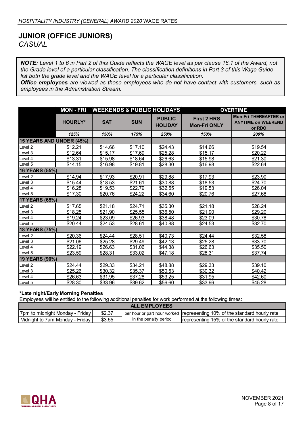## **JUNIOR (OFFICE JUNIORS)** *CASUAL*

*NOTE: Level 1 to 6 in Part 2 of this Guide reflects the WAGE level as per clause 18.1 of the Award, not the Grade level of a particular classification. The classification definitions in Part 3 of this Wage Guide list both the grade level and the WAGE level for a particular classification.* 

*Office employees are viewed as those employees who do not have contact with customers, such as employees in the Administration Stream.*

|                          | <b>MON - FRI</b> | <b>WEEKENDS &amp; PUBLIC HOLIDAYS</b> |                     |                                 |                                           | <b>OVERTIME</b>                                                     |  |  |
|--------------------------|------------------|---------------------------------------|---------------------|---------------------------------|-------------------------------------------|---------------------------------------------------------------------|--|--|
|                          | <b>HOURLY*</b>   | <b>SAT</b>                            | <b>SUN</b>          | <b>PUBLIC</b><br><b>HOLIDAY</b> | <b>First 2 HRS</b><br><b>Mon-Fri ONLY</b> | <b>Mon-Fri THEREAFTER or</b><br><b>ANYTIME on WEEKEND</b><br>or RDO |  |  |
|                          | 125%             | 150%                                  | 175%                | 250%                            | 150%                                      | 200%                                                                |  |  |
| 15 YEARS AND UNDER (45%) |                  |                                       |                     |                                 |                                           |                                                                     |  |  |
| Level 2                  | \$12.21          | \$14.66                               | \$17.10             | \$24.43                         | \$14.66                                   | \$19.54                                                             |  |  |
| Level 3                  | \$12.64          | \$15.17                               | $\overline{$}17.69$ | \$25.28                         | \$15.17                                   | \$20.22                                                             |  |  |
| Level 4                  | \$13.31          | \$15.98                               | \$18.64             | \$26.63                         | \$15.98                                   | \$21.30                                                             |  |  |
| Level 5                  | \$14.15          | \$16.98                               | \$19.81             | \$28.30                         | \$16.98                                   | \$22.64                                                             |  |  |
| 16 YEARS (55%)           |                  |                                       |                     |                                 |                                           |                                                                     |  |  |
| Level 2                  | \$14.94          | \$17.93                               | \$20.91             | \$29.88                         | \$17.93                                   | \$23.90                                                             |  |  |
| Level 3                  | \$15.44          | \$18.53                               | \$21.61             | \$30.88                         | \$18.53                                   | \$24.70                                                             |  |  |
| Level 4                  | \$16.28          | \$19.53                               | \$22.79             | \$32.55                         | \$19.53                                   | \$26.04                                                             |  |  |
| Level 5                  | \$17.30          | \$20.76                               | \$24.22             | \$34.60                         | \$20.76                                   | \$27.68                                                             |  |  |
| 17 YEARS (65%)           |                  |                                       |                     |                                 |                                           |                                                                     |  |  |
| Level 2                  | \$17.65          | \$21.18                               | \$24.71             | \$35.30                         | \$21.18                                   | \$28.24                                                             |  |  |
| Level 3                  | \$18.25          | \$21.90                               | \$25.55             | \$36.50                         | \$21.90                                   | \$29.20                                                             |  |  |
| Level 4                  | \$19.24          | \$23.09                               | \$26.93             | \$38.48                         | \$23.09                                   | \$30.78                                                             |  |  |
| Level 5                  | \$20.44          | \$24.53                               | \$28.61             | \$40.88                         | \$24.53                                   | \$32.70                                                             |  |  |
| 18 YEARS (75%)           |                  |                                       |                     |                                 |                                           |                                                                     |  |  |
| Level 2                  | \$20.36          | \$24.44                               | \$28.51             | \$40.73                         | \$24.44                                   | \$32.58                                                             |  |  |
| Level 3                  | \$21.06          | \$25.28                               | \$29.49             | \$42.13                         | \$25.28                                   | \$33.70                                                             |  |  |
| Level 4                  | \$22.19          | \$26.63                               | \$31.06             | \$44.38                         | \$26.63                                   | \$35.50                                                             |  |  |
| Level 5                  | \$23.59          | \$28.31                               | \$33.02             | \$47.18                         | \$28.31                                   | \$37.74                                                             |  |  |
| 19 YEARS (90%)           |                  |                                       |                     |                                 |                                           |                                                                     |  |  |
| Level 2                  | \$24.44          | \$29.33                               | \$34.21             | \$48.88                         | \$29.33                                   | \$39.10                                                             |  |  |
| Level 3                  | \$25.26          | \$30.32                               | \$35.37             | \$50.53                         | \$30.32                                   | \$40.42                                                             |  |  |
| Level 4                  | \$26.63          | \$31.95                               | \$37.28             | \$53.25                         | \$31.95                                   | \$42.60                                                             |  |  |
| Level 5                  | \$28.30          | \$33.96                               | \$39.62             | \$56.60                         | \$33.96                                   | \$45.28                                                             |  |  |

#### **\*Late night/Early Morning Penalties**

| <b>ALL EMPLOYEES</b>               |        |                       |                                                                                 |  |  |  |  |  |
|------------------------------------|--------|-----------------------|---------------------------------------------------------------------------------|--|--|--|--|--|
| 17pm to midnight Monday - Friday I | \$2.37 |                       | $\,$ per hour or part hour worked Trepresenting 10% of the standard hourly rate |  |  |  |  |  |
| l Midnight to 7am Mondav - Fridav  | \$3.55 | in the penalty period | representing 15% of the standard hourly rate                                    |  |  |  |  |  |

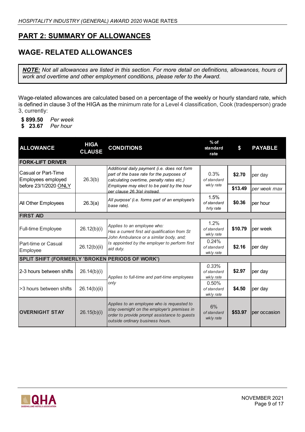# **PART 2: SUMMARY OF ALLOWANCES**

# **WAGE- RELATED ALLOWANCES**

*NOTE: Not all allowances are listed in this section. For more detail on definitions, allowances, hours of work and overtime and other employment conditions, please refer to the Award.*

Wage-related allowances are calculated based on a percentage of the weekly or hourly standard rate, which is defined in clause 3 of the HIGA as the minimum rate for a Level 4 classification, Cook (tradesperson) grade 3, currently:

- **\$ 899.50** *Per week*
- **\$ 23.67** *Per hour*

| <b>ALLOWANCE</b>                                                   | <b>HIGA</b><br><b>CLAUSE</b> | <b>CONDITIONS</b>                                                                                                                                                              | $%$ of<br>standard<br>rate        | \$      | <b>PAYABLE</b> |  |  |  |  |
|--------------------------------------------------------------------|------------------------------|--------------------------------------------------------------------------------------------------------------------------------------------------------------------------------|-----------------------------------|---------|----------------|--|--|--|--|
| <b>FORK-LIFT DRIVER</b>                                            |                              |                                                                                                                                                                                |                                   |         |                |  |  |  |  |
| Casual or Part-Time<br>Employees employed<br>before 23/1/2020 ONLY | 26.3(b)                      | Additional daily payment (i.e. does not form<br>part of the base rate for the purposes of<br>calculating overtime, penalty rates etc,)                                         | 0.3%<br>of standard<br>wkly rate  | \$2.70  | per day        |  |  |  |  |
|                                                                    |                              | Employee may elect to be paid by the hour<br>per clause 26.3(a) instead.                                                                                                       |                                   | \$13.49 | per week max   |  |  |  |  |
| All Other Employees                                                | 26.3(a)                      | All purpose' (i.e. forms part of an employee's<br>base rate).                                                                                                                  | 1.5%<br>of standard<br>hrly rate  | \$0.36  | per hour       |  |  |  |  |
| <b>FIRST AID</b>                                                   |                              |                                                                                                                                                                                |                                   |         |                |  |  |  |  |
| <b>Full-time Employee</b>                                          | 26.12(b)(i)                  | Applies to an employee who:<br>Has a current first aid qualification from St<br>John Ambulance or a similar body, and;                                                         | 1.2%<br>of standard<br>wkly rate  | \$10.79 | per week       |  |  |  |  |
| Part-time or Casual<br>Employee                                    | 26.12(b)(ii)                 | Is appointed by the employer to perform first<br>aid duty.                                                                                                                     | 0.24%<br>of standard<br>wkly rate | \$2.16  | per day        |  |  |  |  |
| SPLIT SHIFT (FORMERLY 'BROKEN PERIODS OF WORK')                    |                              |                                                                                                                                                                                |                                   |         |                |  |  |  |  |
| 2-3 hours between shifts                                           | 26.14(b)(i)                  | Applies to full-time and part-time employees                                                                                                                                   | 0.33%<br>of standard<br>wkly rate | \$2.97  | per day        |  |  |  |  |
| >3 hours between shifts                                            | 26.14(b)(ii)                 | only                                                                                                                                                                           | 0.50%<br>of standard<br>wkly rate | \$4.50  | per day        |  |  |  |  |
| <b>OVERNIGHT STAY</b>                                              | 26.15(b)(i)                  | Applies to an employee who is requested to<br>stay overnight on the employer's premises in<br>order to provide prompt assistance to guests<br>outside ordinary business hours. | 6%<br>of standard<br>wkly rate    | \$53.97 | per occasion   |  |  |  |  |

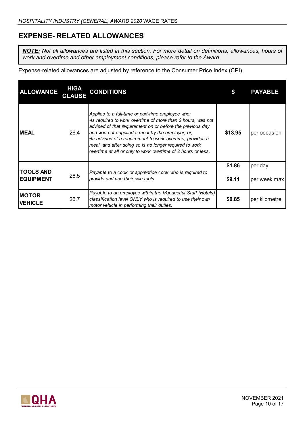# **EXPENSE- RELATED ALLOWANCES**

*NOTE: Not all allowances are listed in this section. For more detail on definitions, allowances, hours of work and overtime and other employment conditions, please refer to the Award.*

Expense-related allowances are adjusted by reference to the Consumer Price Index (CPI).

| <b>ALLOWANCE</b>                     | <b>HIGA</b><br><b>CLAUSE</b> | <b>CONDITIONS</b>                                                                                                                                                                                                                                                                                                                                                                                                         |         | <b>PAYABLE</b> |
|--------------------------------------|------------------------------|---------------------------------------------------------------------------------------------------------------------------------------------------------------------------------------------------------------------------------------------------------------------------------------------------------------------------------------------------------------------------------------------------------------------------|---------|----------------|
| <b>IMEAL</b>                         | 26.4                         | Applies to a full-time or part-time employee who:<br>. Is required to work overtime of more than 2 hours, was not<br>advised of that requirement on or before the previous day<br>and was not supplied a meal by the employer, or;<br>•Is advised of a requirement to work overtime, provides a<br>meal, and after doing so is no longer required to work<br>overtime at all or only to work overtime of 2 hours or less. | \$13.95 | per occasion   |
| <b>TOOLS AND</b><br><b>EQUIPMENT</b> | 26.5                         | Payable to a cook or apprentice cook who is required to<br>provide and use their own tools                                                                                                                                                                                                                                                                                                                                | \$1.86  | per day        |
|                                      |                              |                                                                                                                                                                                                                                                                                                                                                                                                                           | \$9.11  | per week max   |
| <b>IMOTOR</b><br><b>VEHICLE</b>      | 26.7                         | Payable to an employee within the Managerial Staff (Hotels)<br>classification level ONLY who is required to use their own<br>motor vehicle in performing their duties.                                                                                                                                                                                                                                                    | \$0.85  | per kilometre  |

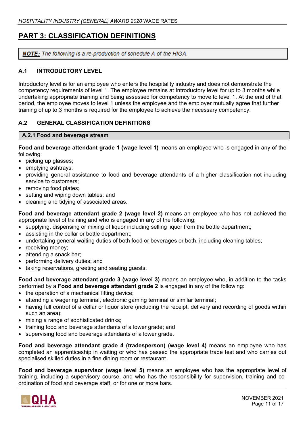# **PART 3: CLASSIFICATION DEFINITIONS**

**NOTE:** The following is a re-production of schedule A of the HIGA.

## **A.1 INTRODUCTORY LEVEL**

Introductory level is for an employee who enters the hospitality industry and does not demonstrate the competency requirements of level 1. The employee remains at Introductory level for up to 3 months while undertaking appropriate training and being assessed for competency to move to level 1. At the end of that period, the employee moves to level 1 unless the employee and the employer mutually agree that further training of up to 3 months is required for the employee to achieve the necessary competency.

### **A.2 GENERAL CLASSIFICATION DEFINITIONS**

### **A.2.1 Food and beverage stream**

**Food and beverage attendant grade 1 (wage level 1)** means an employee who is engaged in any of the following:

- picking up glasses;
- emptying ashtrays;
- providing general assistance to food and beverage attendants of a higher classification not including service to customers;
- removing food plates;
- setting and wiping down tables; and
- cleaning and tidying of associated areas.

**Food and beverage attendant grade 2 (wage level 2)** means an employee who has not achieved the appropriate level of training and who is engaged in any of the following:

- supplying, dispensing or mixing of liquor including selling liquor from the bottle department;
- assisting in the cellar or bottle department;
- undertaking general waiting duties of both food or beverages or both, including cleaning tables;
- receiving money;
- attending a snack bar;
- performing delivery duties; and
- taking reservations, greeting and seating quests.

**Food and beverage attendant grade 3 (wage level 3)** means an employee who, in addition to the tasks performed by a **Food and beverage attendant grade 2** is engaged in any of the following:

- the operation of a mechanical lifting device;
- attending a wagering terminal, electronic gaming terminal or similar terminal;
- having full control of a cellar or liquor store (including the receipt, delivery and recording of goods within such an area);
- mixing a range of sophisticated drinks;
- training food and beverage attendants of a lower grade; and
- supervising food and beverage attendants of a lower grade.

**Food and beverage attendant grade 4 (tradesperson) (wage level 4)** means an employee who has completed an apprenticeship in waiting or who has passed the appropriate trade test and who carries out specialised skilled duties in a fine dining room or restaurant.

**Food and beverage supervisor (wage level 5)** means an employee who has the appropriate level of training, including a supervisory course, and who has the responsibility for supervision, training and coordination of food and beverage staff, or for one or more bars.

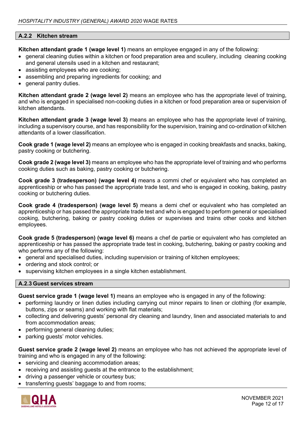### **A.2.2 Kitchen stream**

**Kitchen attendant grade 1 (wage level 1)** means an employee engaged in any of the following:

- general cleaning duties within a kitchen or food preparation area and scullery, including cleaning cooking and general utensils used in a kitchen and restaurant;
- assisting employees who are cooking;
- assembling and preparing ingredients for cooking; and
- general pantry duties.

**Kitchen attendant grade 2 (wage level 2)** means an employee who has the appropriate level of training, and who is engaged in specialised non-cooking duties in a kitchen or food preparation area or supervision of kitchen attendants.

**Kitchen attendant grade 3 (wage level 3)** means an employee who has the appropriate level of training, including a supervisory course, and has responsibility for the supervision, training and co-ordination of kitchen attendants of a lower classification.

**Cook grade 1 (wage level 2)** means an employee who is engaged in cooking breakfasts and snacks, baking, pastry cooking or butchering.

**Cook grade 2 (wage level 3)** means an employee who has the appropriate level of training and who performs cooking duties such as baking, pastry cooking or butchering.

**Cook grade 3 (tradesperson) (wage level 4)** means a commi chef or equivalent who has completed an apprenticeship or who has passed the appropriate trade test, and who is engaged in cooking, baking, pastry cooking or butchering duties.

**Cook grade 4 (tradesperson) (wage level 5)** means a demi chef or equivalent who has completed an apprenticeship or has passed the appropriate trade test and who is engaged to perform general or specialised cooking, butchering, baking or pastry cooking duties or supervises and trains other cooks and kitchen employees.

**Cook grade 5 (tradesperson) (wage level 6)** means a chef de partie or equivalent who has completed an apprenticeship or has passed the appropriate trade test in cooking, butchering, baking or pastry cooking and who performs any of the following:

- general and specialised duties, including supervision or training of kitchen employees;
- ordering and stock control; or
- supervising kitchen employees in a single kitchen establishment.

#### **A.2.3 Guest services stream**

**Guest service grade 1 (wage level 1)** means an employee who is engaged in any of the following:

- performing laundry or linen duties including carrying out minor repairs to linen or clothing (for example, buttons, zips or seams) and working with flat materials;
- collecting and delivering guests' personal dry cleaning and laundry, linen and associated materials to and from accommodation areas;
- performing general cleaning duties;
- parking guests' motor vehicles.

**Guest service grade 2 (wage level 2)** means an employee who has not achieved the appropriate level of training and who is engaged in any of the following:

- servicing and cleaning accommodation areas;
- receiving and assisting quests at the entrance to the establishment;
- driving a passenger vehicle or courtesy bus;
- transferring guests' baggage to and from rooms;

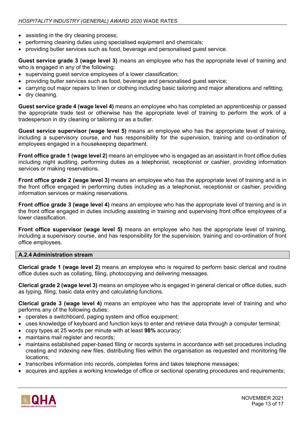- assisting in the dry cleaning process;
- performing cleaning duties using specialised equipment and chemicals;
- providing butler services such as food, beverage and personalised guest service.

**Guest service grade 3 (wage level 3)** means an employee who has the appropriate level of training and who is engaged in any of the following:

- supervising guest service employees of a lower classification;
- providing butler services such as food, beverage and personalised guest service;
- carrying out major repairs to linen or clothing including basic tailoring and major alterations and refitting;
- dry cleaning.

**Guest service grade 4 (wage level 4)** means an employee who has completed an apprenticeship or passed the appropriate trade test or otherwise has the appropriate level of training to perform the work of a tradesperson in dry cleaning or tailoring or as a butler.

**Guest service supervisor (wage level 5)** means an employee who has the appropriate level of training, including a supervisory course, and has responsibility for the supervision, training and co-ordination of employees engaged in a housekeeping department.

**Front office grade 1 (wage level 2)** means an employee who is engaged as an assistant in front office duties including night auditing, performing duties as a telephonist, receptionist or cashier, providing information services or making reservations.

**Front office grade 2 (wage level 3)** means an employee who has the appropriate level of training and is in the front office engaged in performing duties including as a telephonist, receptionist or cashier, providing information services or making reservations.

**Front office grade 3 (wage level 4)** means an employee who has the appropriate level of training and is in the front office engaged in duties including assisting in training and supervising front office employees of a lower classification.

**Front office supervisor (wage level 5)** means an employee who has the appropriate level of training, including a supervisory course, and has responsibility for the supervision, training and co-ordination of front office employees.

#### **A.2.4 Administration stream**

**Clerical grade 1 (wage level 2)** means an employee who is required to perform basic clerical and routine office duties such as collating, filing, photocopying and delivering messages.

**Clerical grade 2 (wage level 3)** means an employee who is engaged in general clerical or office duties, such as typing, filing, basic data entry and calculating functions.

**Clerical grade 3 (wage level 4)** means an employee who has the appropriate level of training and who performs any of the following duties:

- operates a switchboard, paging system and office equipment;
- uses knowledge of keyboard and function keys to enter and retrieve data through a computer terminal;
- copy types at 25 words per minute with at least **98%** accuracy;
- maintains mail register and records;
- maintains established paper-based filing or records systems in accordance with set procedures including creating and indexing new files, distributing files within the organisation as requested and monitoring file locations;
- transcribes information into records, completes forms and takes telephone messages;
- acquires and applies a working knowledge of office or sectional operating procedures and requirements;

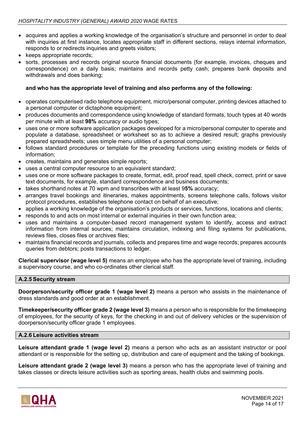- acquires and applies a working knowledge of the organisation's structure and personnel in order to deal with inquiries at first instance, locates appropriate staff in different sections, relays internal information, responds to or redirects inquiries and greets visitors;
- keeps appropriate records;
- sorts, processes and records original source financial documents (for example, invoices, cheques and correspondence) on a daily basis; maintains and records petty cash; prepares bank deposits and withdrawals and does banking;

### **and who has the appropriate level of training and also performs any of the following:**

- operates computerised radio telephone equipment, micro/personal computer, printing devices attached to a personal computer or dictaphone equipment;
- produces documents and correspondence using knowledge of standard formats, touch types at 40 words per minute with at least **98%** accuracy or audio types;
- uses one or more software application packages developed for a micro/personal computer to operate and populate a database, spreadsheet or worksheet so as to achieve a desired result; graphs previously prepared spreadsheets; uses simple menu utilities of a personal computer;
- follows standard procedures or template for the preceding functions using existing models or fields of information;
- creates, maintains and generates simple reports;
- uses a central computer resource to an equivalent standard;
- uses one or more software packages to create, format, edit, proof read, spell check, correct, print or save text documents, for example, standard correspondence and business documents;
- takes shorthand notes at 70 wpm and transcribes with at least 9**5%** accuracy;
- arranges travel bookings and itineraries, makes appointments, screens telephone calls, follows visitor protocol procedures, establishes telephone contact on behalf of an executive;
- applies a working knowledge of the organisation's products or services, functions, locations and clients;
- responds to and acts on most internal or external inquiries in their own function area;
- uses and maintains a computer-based record management system to identify, access and extract information from internal sources; maintains circulation, indexing and filing systems for publications, reviews files, closes files or archives files;
- maintains financial records and journals, collects and prepares time and wage records; prepares accounts queries from debtors; posts transactions to ledger.

**Clerical supervisor (wage level 5)** means an employee who has the appropriate level of training, including a supervisory course, and who co-ordinates other clerical staff.

#### **A.2.5 Security stream**

**Doorperson/security officer grade 1 (wage level 2)** means a person who assists in the maintenance of dress standards and good order at an establishment.

**Timekeeper/security officer grade 2 (wage level 3)** means a person who is responsible for the timekeeping of employees, for the security of keys, for the checking in and out of delivery vehicles or the supervision of doorperson/security officer grade 1 employees.

#### **A.2.6 Leisure activities stream**

**Leisure attendant grade 1 (wage level 2)** means a person who acts as an assistant instructor or pool attendant or is responsible for the setting up, distribution and care of equipment and the taking of bookings.

**Leisure attendant grade 2 (wage level 3)** means a person who has the appropriate level of training and takes classes or directs leisure activities such as sporting areas, health clubs and swimming pools.

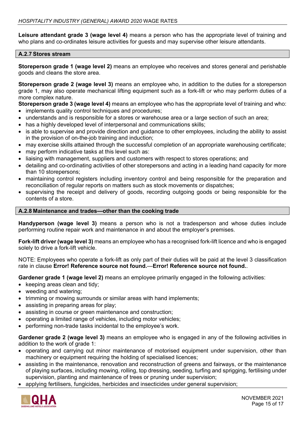**Leisure attendant grade 3 (wage level 4)** means a person who has the appropriate level of training and who plans and co-ordinates leisure activities for guests and may supervise other leisure attendants.

#### **A.2.7 Stores stream**

**Storeperson grade 1 (wage level 2)** means an employee who receives and stores general and perishable goods and cleans the store area.

**Storeperson grade 2 (wage level 3)** means an employee who, in addition to the duties for a storeperson grade 1, may also operate mechanical lifting equipment such as a fork-lift or who may perform duties of a more complex nature.

**Storeperson grade 3 (wage level 4)** means an employee who has the appropriate level of training and who:

- implements quality control techniques and procedures;
- understands and is responsible for a stores or warehouse area or a large section of such an area;
- has a highly developed level of interpersonal and communications skills;
- is able to supervise and provide direction and guidance to other employees, including the ability to assist in the provision of on-the-job training and induction;
- may exercise skills attained through the successful completion of an appropriate warehousing certificate;
- may perform indicative tasks at this level such as:
- liaising with management, suppliers and customers with respect to stores operations; and
- detailing and co-ordinating activities of other storepersons and acting in a leading hand capacity for more than 10 storepersons;
- maintaining control registers including inventory control and being responsible for the preparation and reconciliation of regular reports on matters such as stock movements or dispatches;
- supervising the receipt and delivery of goods, recording outgoing goods or being responsible for the contents of a store.

### **A.2.8 Maintenance and trades—other than the cooking trade**

**Handyperson (wage level 3)** means a person who is not a tradesperson and whose duties include performing routine repair work and maintenance in and about the employer's premises.

**Fork-lift driver (wage level 3)** means an employee who has a recognised fork-lift licence and who is engaged solely to drive a fork-lift vehicle.

NOTE: Employees who operate a fork-lift as only part of their duties will be paid at the level 3 classification rate in clause **Error! Reference source not found.**—**Error! Reference source not found.**.

**Gardener grade 1 (wage level 2)** means an employee primarily engaged in the following activities:

- keeping areas clean and tidy;
- weeding and watering;
- trimming or mowing surrounds or similar areas with hand implements;
- assisting in preparing areas for play;
- assisting in course or green maintenance and construction;
- operating a limited range of vehicles, including motor vehicles;
- performing non-trade tasks incidental to the employee's work.

**Gardener grade 2 (wage level 3)** means an employee who is engaged in any of the following activities in addition to the work of grade 1:

- operating and carrying out minor maintenance of motorised equipment under supervision, other than machinery or equipment requiring the holding of specialised licences;
- assisting in the maintenance, renovation and reconstruction of greens and fairways, or the maintenance of playing surfaces, including mowing, rolling, top dressing, seeding, turfing and sprigging, fertilising under supervision, planting and maintenance of trees or pruning under supervision;
- applying fertilisers, fungicides, herbicides and insecticides under general supervision;

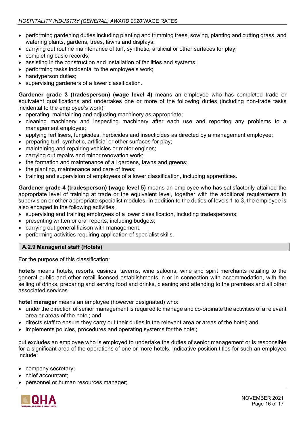- performing gardening duties including planting and trimming trees, sowing, planting and cutting grass, and watering plants, gardens, trees, lawns and displays;
- carrying out routine maintenance of turf, synthetic, artificial or other surfaces for play;
- completing basic records;
- assisting in the construction and installation of facilities and systems;
- performing tasks incidental to the employee's work;
- handyperson duties:
- supervising gardeners of a lower classification.

**Gardener grade 3 (tradesperson) (wage level 4)** means an employee who has completed trade or equivalent qualifications and undertakes one or more of the following duties (including non-trade tasks incidental to the employee's work):

- operating, maintaining and adjusting machinery as appropriate;
- cleaning machinery and inspecting machinery after each use and reporting any problems to a management employee;
- applying fertilisers, fungicides, herbicides and insecticides as directed by a management employee;
- preparing turf, synthetic, artificial or other surfaces for play;
- maintaining and repairing vehicles or motor engines;
- carrying out repairs and minor renovation work;
- the formation and maintenance of all gardens, lawns and greens;
- the planting, maintenance and care of trees;
- training and supervision of employees of a lower classification, including apprentices.

**Gardener grade 4 (tradesperson) (wage level 5)** means an employee who has satisfactorily attained the appropriate level of training at trade or the equivalent level, together with the additional requirements in supervision or other appropriate specialist modules. In addition to the duties of levels 1 to 3, the employee is also engaged in the following activities:

- supervising and training employees of a lower classification, including tradespersons;
- presenting written or oral reports, including budgets;
- carrying out general liaison with management;
- performing activities requiring application of specialist skills.

### **A.2.9 Managerial staff (Hotels)**

For the purpose of this classification:

**hotels** means hotels, resorts, casinos, taverns, wine saloons, wine and spirit merchants retailing to the general public and other retail licensed establishments in or in connection with accommodation, with the selling of drinks, preparing and serving food and drinks, cleaning and attending to the premises and all other associated services.

**hotel manager** means an employee (however designated) who:

- under the direction of senior management is required to manage and co-ordinate the activities of a relevant area or areas of the hotel; and
- directs staff to ensure they carry out their duties in the relevant area or areas of the hotel; and
- implements policies, procedures and operating systems for the hotel;

but excludes an employee who is employed to undertake the duties of senior management or is responsible for a significant area of the operations of one or more hotels. Indicative position titles for such an employee include:

- company secretary;
- chief accountant;
- personnel or human resources manager;